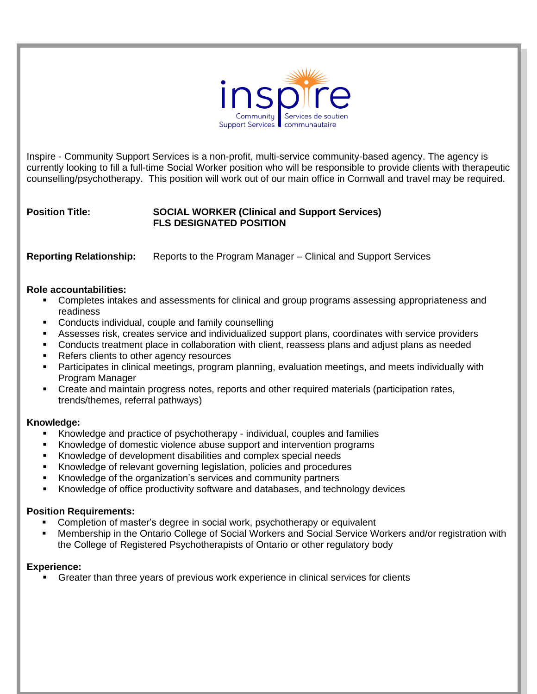

Inspire - Community Support Services is a non-profit, multi-service community-based agency. The agency is currently looking to fill a full-time Social Worker position who will be responsible to provide clients with therapeutic counselling/psychotherapy. This position will work out of our main office in Cornwall and travel may be required.

# **Position Title: SOCIAL WORKER (Clinical and Support Services) FLS DESIGNATED POSITION**

**Reporting Relationship:** Reports to the Program Manager – Clinical and Support Services

## **Role accountabilities:**

- Completes intakes and assessments for clinical and group programs assessing appropriateness and readiness
- Conducts individual, couple and family counselling
- Assesses risk, creates service and individualized support plans, coordinates with service providers
- Conducts treatment place in collaboration with client, reassess plans and adjust plans as needed
- Refers clients to other agency resources
- **•** Participates in clinical meetings, program planning, evaluation meetings, and meets individually with Program Manager
- Create and maintain progress notes, reports and other required materials (participation rates, trends/themes, referral pathways)

## **Knowledge:**

- Knowledge and practice of psychotherapy individual, couples and families
- Knowledge of domestic violence abuse support and intervention programs
- Knowledge of development disabilities and complex special needs
- Knowledge of relevant governing legislation, policies and procedures
- Knowledge of the organization's services and community partners
- Knowledge of office productivity software and databases, and technology devices

## **Position Requirements:**

- Completion of master's degree in social work, psychotherapy or equivalent
- Membership in the Ontario College of Social Workers and Social Service Workers and/or registration with the College of Registered Psychotherapists of Ontario or other regulatory body

## **Experience:**

Greater than three years of previous work experience in clinical services for clients